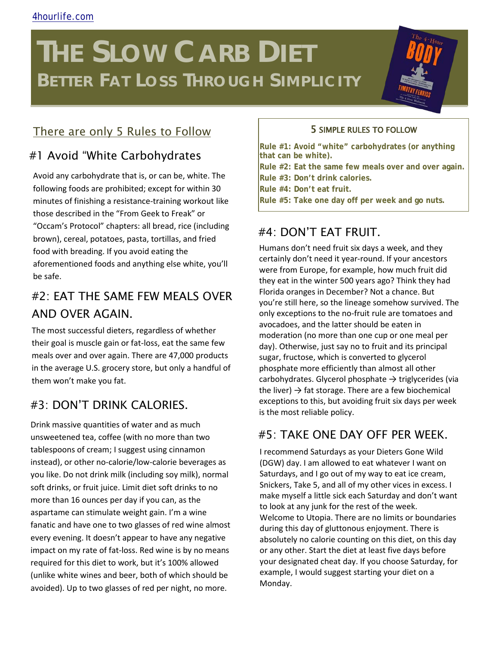# **THE SLOW CARB DIET BETTER FAT LOSS THROUGH SIMPLICITY**

## There are only 5 Rules to Follow 5 SIMPLE RULES TO FOLLOW

### #1 Avoid "White Carbohydrates

Avoid any carbohydrate that is, or can be, white. The following foods are prohibited; except for within 30 minutes of finishing a resistance-training workout like those described in the "From Geek to Freak" or "Occam's Protocol" chapters: all bread, rice (including brown), cereal, potatoes, pasta, tortillas, and fried food with breading. If you avoid eating the aforementioned foods and anything else white, you'll be safe.

# #2: EAT THE SAME FEW MEALS OVER AND OVER AGAIN.

The most successful dieters, regardless of whether their goal is muscle gain or fat-loss, eat the same few meals over and over again. There are 47,000 products in the average U.S. grocery store, but only a handful of them won't make you fat.

#### #3: DON'T DRINK CALORIES.

Drink massive quantities of water and as much unsweetened tea, coffee (with no more than two tablespoons of cream; I suggest using cinnamon instead), or other no-calorie/low-calorie beverages as you like. Do not drink milk (including soy milk), normal soft drinks, or fruit juice. Limit diet soft drinks to no more than 16 ounces per day if you can, as the aspartame can stimulate weight gain. I'm a wine fanatic and have one to two glasses of red wine almost every evening. It doesn't appear to have any negative impact on my rate of fat-loss. Red wine is by no means required for this diet to work, but it's 100% allowed (unlike white wines and beer, both of which should be avoided). Up to two glasses of red per night, no more.

**Rule #1: Avoid "white" carbohydrates (or anything that can be white). Rule #2: Eat the same few meals over and over again.**

**Rule #3: Don't drink calories.** 

**Rule #4: Don't eat fruit.** 

**Rule #5: Take one day off per week and go nuts.**

### #4: DON'T EAT FRUIT.

Humans don't need fruit six days a week, and they certainly don't need it year-round. If your ancestors were from Europe, for example, how much fruit did they eat in the winter 500 years ago? Think they had Florida oranges in December? Not a chance. But you're still here, so the lineage somehow survived. The only exceptions to the no-fruit rule are tomatoes and avocadoes, and the latter should be eaten in moderation (no more than one cup or one meal per day). Otherwise, just say no to fruit and its principal sugar, fructose, which is converted to glycerol phosphate more efficiently than almost all other carbohydrates. Glycerol phosphate  $\rightarrow$  triglycerides (via the liver)  $\rightarrow$  fat storage. There are a few biochemical exceptions to this, but avoiding fruit six days per week is the most reliable policy.

#### #5: TAKE ONE DAY OFF PER WEEK.

I recommend Saturdays as your Dieters Gone Wild (DGW) day. I am allowed to eat whatever I want on Saturdays, and I go out of my way to eat ice cream, Snickers, Take 5, and all of my other vices in excess. I make myself a little sick each Saturday and don't want to look at any junk for the rest of the week. Welcome to Utopia. There are no limits or boundaries during this day of gluttonous enjoyment. There is absolutely no calorie counting on this diet, on this day or any other. Start the diet at least five days before your designated cheat day. If you choose Saturday, for example, I would suggest starting your diet on a Monday.